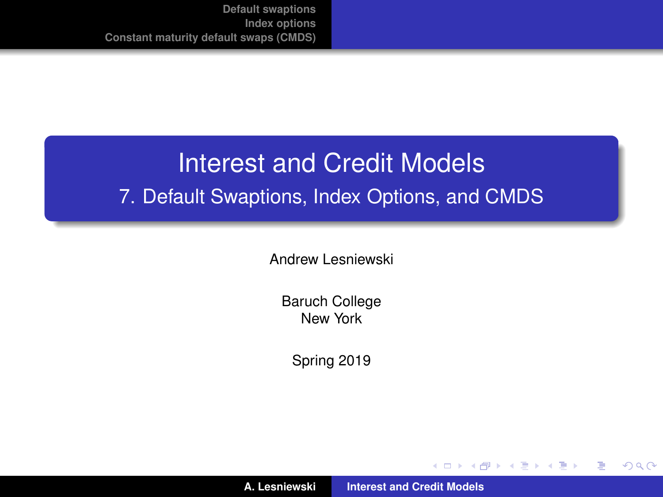# Interest and Credit Models 7. Default Swaptions, Index Options, and CMDS

Andrew Lesniewski

Baruch College New York

Spring 2019

(ロトス個) (運) (運)

重

<span id="page-0-0"></span> $299$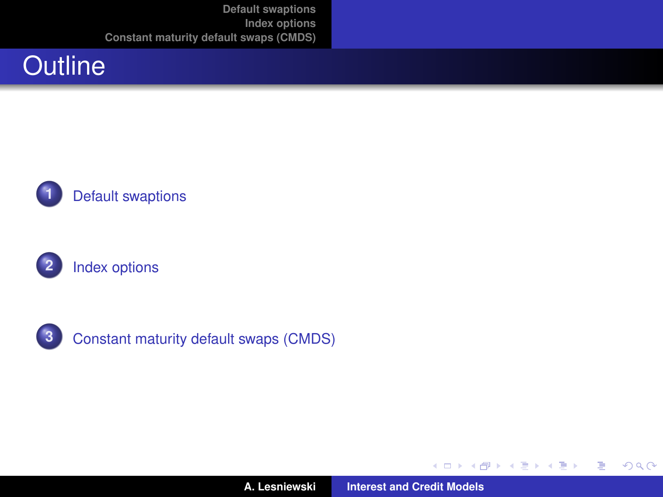







**3** [Constant maturity default swaps \(CMDS\)](#page-20-0)

す 御 ト す 重 ト す 重 ト

4 0 8

重

 $299$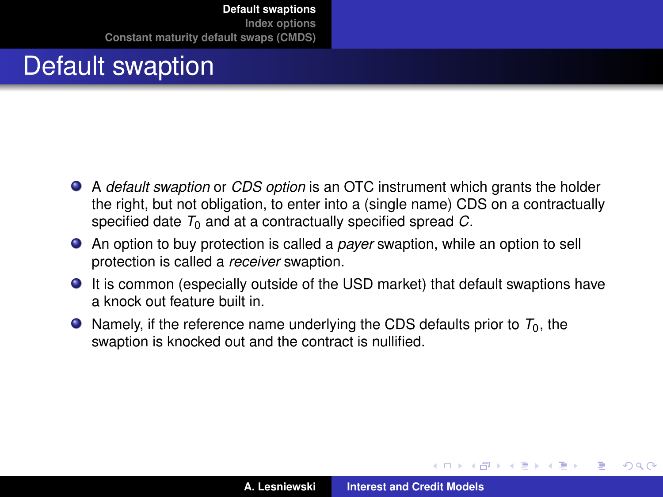## Default swaption

- A *default swaption* or *CDS option* is an OTC instrument which grants the holder the right, but not obligation, to enter into a (single name) CDS on a contractually specified date  $T_0$  and at a contractually specified spread  $C$ .
- An option to buy protection is called a *payer* swaption, while an option to sell protection is called a *receiver* swaption.
- It is common (especially outside of the USD market) that default swaptions have a knock out feature built in.
- $\bullet$  Namely, if the reference name underlying the CDS defaults prior to  $T_0$ , the swaption is knocked out and the contract is nullified.

 $\sqrt{m}$   $\rightarrow$   $\sqrt{m}$   $\rightarrow$   $\sqrt{m}$   $\rightarrow$ 

<span id="page-2-0"></span> $QQ$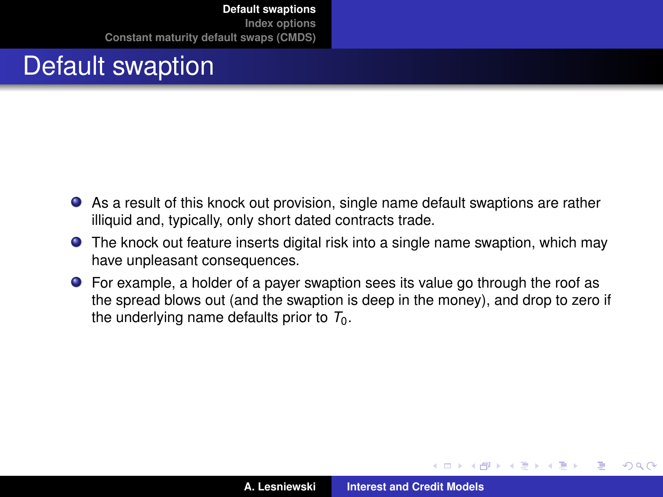## Default swaption

- As a result of this knock out provision, single name default swaptions are rather illiquid and, typically, only short dated contracts trade.
- The knock out feature inserts digital risk into a single name swaption, which may have unpleasant consequences.
- For example, a holder of a payer swaption sees its value go through the roof as the spread blows out (and the swaption is deep in the money), and drop to zero if the underlying name defaults prior to  $T_0$ .

 $QQ$ 

イロト イ押ト イヨト イヨト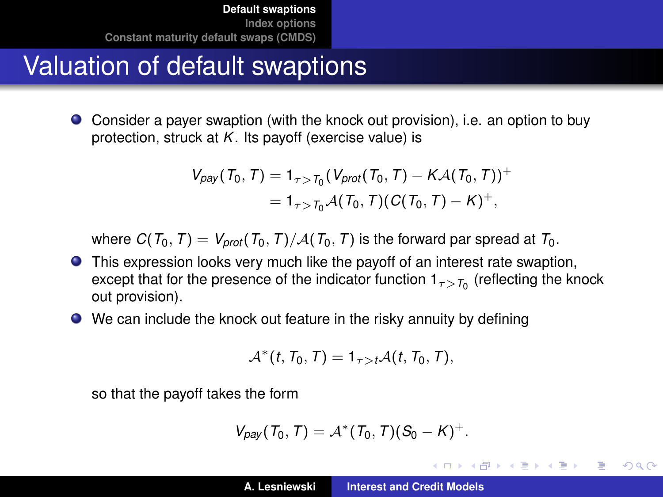## Valuation of default swaptions

Consider a payer swaption (with the knock out provision), i.e. an option to buy protection, struck at *K*. Its payoff (exercise value) is

$$
V_{\text{pay}}(T_0, T) = 1_{\tau > T_0} (V_{\text{prot}}(T_0, T) - K\mathcal{A}(T_0, T))^{+}
$$
  
= 1\_{\tau > T\_0} \mathcal{A}(T\_0, T)(C(T\_0, T) - K)^{+},

where  $C(T_0, T) = V_{\text{prot}}(T_0, T)/A(T_0, T)$  is the forward par spread at  $T_0$ .

- This expression looks very much like the payoff of an interest rate swaption, except that for the presence of the indicator function  $1_{\tau>7_0}$  (reflecting the knock out provision).
- We can include the knock out feature in the risky annuity by defining

$$
\mathcal{A}^*(t, T_0, T) = 1_{\tau > t} \mathcal{A}(t, T_0, T),
$$

so that the payoff takes the form

$$
V_{\text{pay}}(T_0, T) = \mathcal{A}^*(T_0, T)(S_0 - K)^+.
$$

イロメ イ部メ イヨメ イヨメー

 $2Q$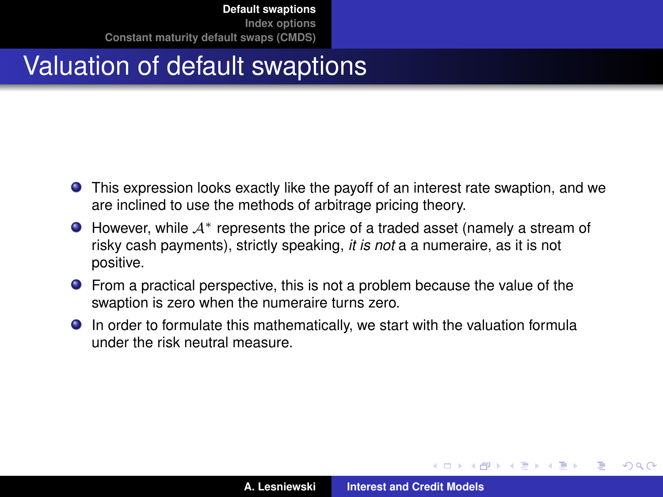# Valuation of default swaptions

- This expression looks exactly like the payoff of an interest rate swaption, and we are inclined to use the methods of arbitrage pricing theory.
- $\bullet$  However, while  $\mathcal{A}^*$  represents the price of a traded asset (namely a stream of risky cash payments), strictly speaking, *it is not* a a numeraire, as it is not positive.
- **•** From a practical perspective, this is not a problem because the value of the swaption is zero when the numeraire turns zero.
- In order to formulate this mathematically, we start with the valuation formula under the risk neutral measure.

 $\sqrt{m}$   $\rightarrow$   $\sqrt{m}$   $\rightarrow$   $\sqrt{m}$   $\rightarrow$ 

 $QQ$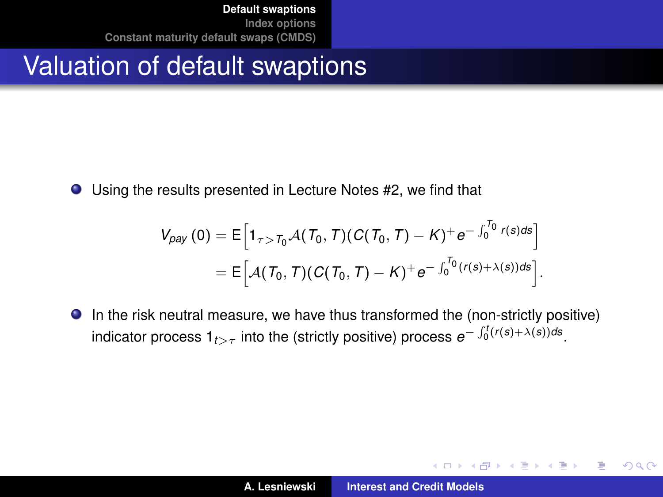## Valuation of default swaptions

Using the results presented in Lecture Notes #2, we find that

$$
V_{\rho ay}(0) = \mathsf{E}\Big[1_{\tau > T_0} \mathcal{A}(T_0, T)(C(T_0, T) - K)^+ e^{-\int_0^{T_0} r(s) ds}\Big]
$$
  
=  $\mathsf{E}\Big[\mathcal{A}(T_0, T)(C(T_0, T) - K)^+ e^{-\int_0^{T_0} (r(s) + \lambda(s)) ds}\Big].$ 

In the risk neutral measure, we have thus transformed the (non-strictly positive) indicator process  $1_{t>\tau}$  into the (strictly positive) process  $e^{-\int_0^t (r(s)+\lambda(s))ds}$ .

イロメ イ部メ イ君メ イ君メー

 $299$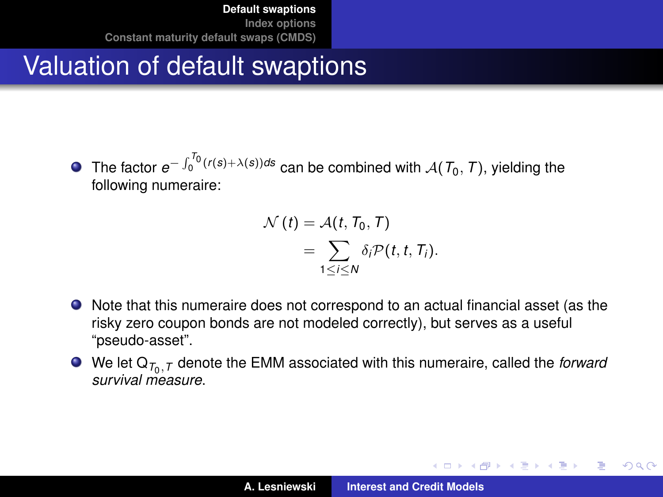# Valuation of default swaptions

The factor  $e^{-\int_0^{T_0}(r(s)+\lambda(s))ds}$  can be combined with  $\mathcal{A}(T_0,T)$ , yielding the following numeraire:

$$
\mathcal{N}(t) = \mathcal{A}(t, T_0, T)
$$
  
= 
$$
\sum_{1 \leq i \leq N} \delta_i \mathcal{P}(t, t, T_i).
$$

- Note that this numeraire does not correspond to an actual financial asset (as the risky zero coupon bonds are not modeled correctly), but serves as a useful "pseudo-asset".
- We let  $Q_{\mathcal{T}_0, \mathcal{T}}$  denote the EMM associated with this numeraire, called the *forward survival measure*.

イロメ イ団メ イヨメ イヨメー

÷.  $QQQ$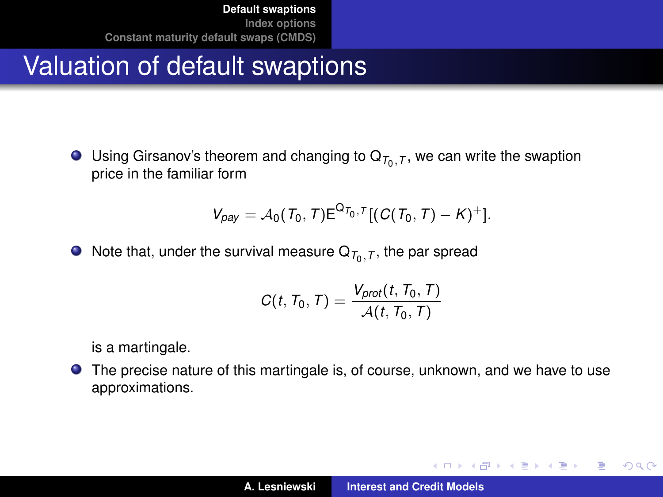# Valuation of default swaptions

Using Girsanov's theorem and changing to  $Q_{\mathcal{T}_0, \mathcal{T}}$ , we can write the swaption price in the familiar form

$$
V_{\text{pay}} = A_0(T_0, T) E^{Q_{T_0}, T} [(C(T_0, T) - K)^+] .
$$

Note that, under the survival measure  $\mathsf{Q}_{\mathcal{T}_0,\mathcal{T}},$  the par spread

$$
C(t, T_0, T) = \frac{V_{prot}(t, T_0, T)}{\mathcal{A}(t, T_0, T)}
$$

is a martingale.

The precise nature of this martingale is, of course, unknown, and we have to use approximations.

イロメ イ団メ イヨメ イヨメー

 $299$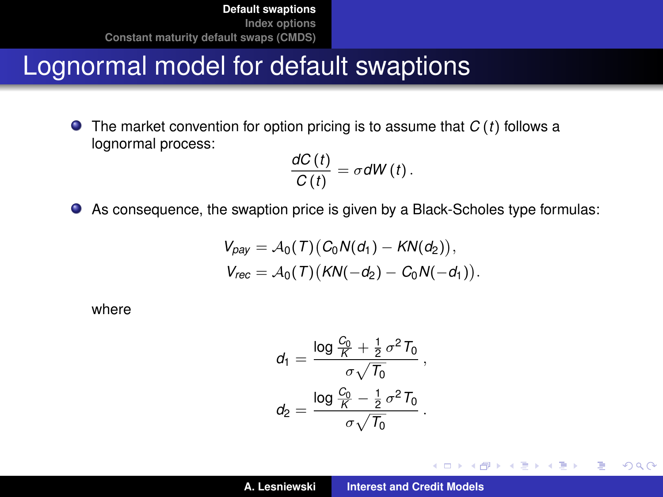#### Lognormal model for default swaptions

The market convention for option pricing is to assume that *C* (*t*) follows a  $\bullet$ lognormal process:

$$
\frac{dC(t)}{C(t)}=\sigma dW(t).
$$

As consequence, the swaption price is given by a Black-Scholes type formulas:

$$
V_{pay} = A_0(T)(C_0N(d_1) - KN(d_2)),
$$
  
\n
$$
V_{rec} = A_0(T)(KN(-d_2) - C_0N(-d_1)).
$$

where

$$
\begin{aligned} d_1&=\frac{\log\frac{C_0}{K}+\frac{1}{2}\,\sigma^2\,T_0}{\sigma\sqrt{T_0}}\,,\\ d_2&=\frac{\log\frac{C_0}{K}-\frac{1}{2}\,\sigma^2\,T_0}{\sigma\sqrt{T_0}}\,. \end{aligned}
$$

イロメ イ団メ イヨメ イヨメー

重

 $299$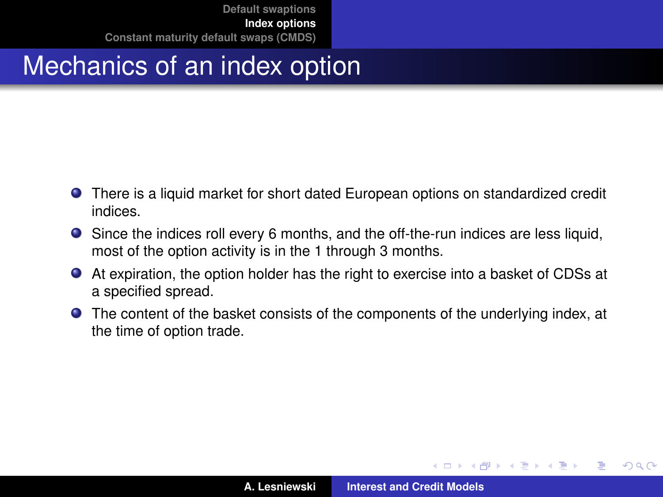## Mechanics of an index option

- There is a liquid market for short dated European options on standardized credit indices.
- Since the indices roll every 6 months, and the off-the-run indices are less liquid, most of the option activity is in the 1 through 3 months.
- At expiration, the option holder has the right to exercise into a basket of CDSs at a specified spread.
- The content of the basket consists of the components of the underlying index, at the time of option trade.

す 御 ト す 重 ト す 重 ト

4 0 8

<span id="page-10-0"></span>Þ

 $QQ$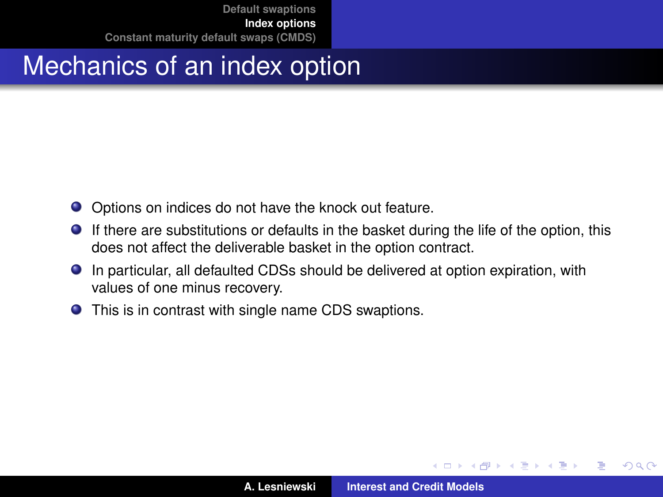## Mechanics of an index option

- Options on indices do not have the knock out feature.
- If there are substitutions or defaults in the basket during the life of the option, this does not affect the deliverable basket in the option contract.
- In particular, all defaulted CDSs should be delivered at option expiration, with values of one minus recovery.
- This is in contrast with single name CDS swaptions.

⊀ 御 ⊁ ∢ 重 ⊁ ∢ 重 ⊁

4 D F

Þ

 $QQ$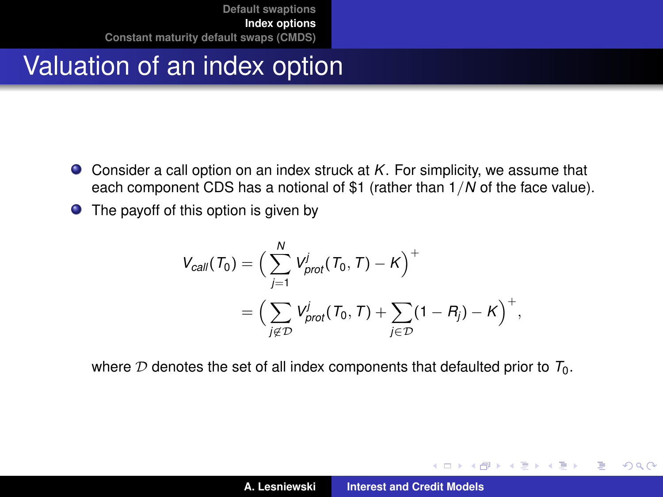## Valuation of an index option

- Consider a call option on an index struck at *K*. For simplicity, we assume that each component CDS has a notional of \$1 (rather than 1/*N* of the face value).
- The payoff of this option is given by

$$
V_{call}(T_0) = \Big(\sum_{j=1}^N V_{prot}^j(T_0, T) - K\Big)^+
$$
  
= 
$$
\Big(\sum_{j \notin \mathcal{D}} V_{prot}^j(T_0, T) + \sum_{j \in \mathcal{D}} (1 - R_j) - K\Big)^+,
$$

where  $D$  denotes the set of all index components that defaulted prior to  $T_0$ .

す 伊 メ マ ヨ メ マ ヨ メ

4 0 8

 $2Q$ Þ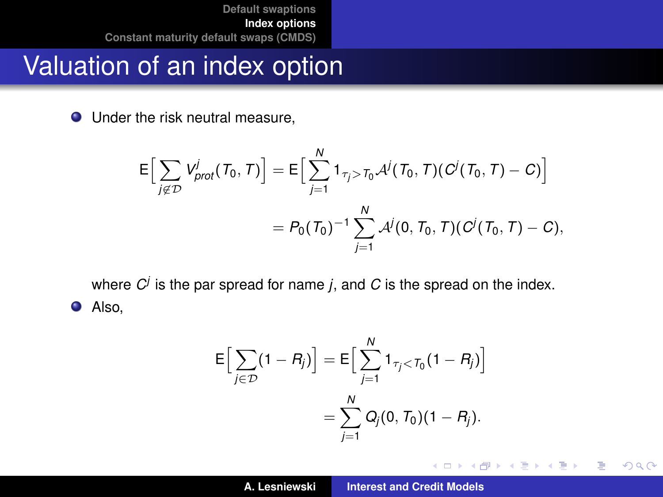#### Valuation of an index option

● Under the risk neutral measure,

$$
E\Big[\sum_{j\notin\mathcal{D}}V_{prot}^{j}(T_0, T)\Big] = E\Big[\sum_{j=1}^{N}1_{\tau_j>T_0}\mathcal{A}^{j}(T_0, T)(C^{j}(T_0, T) - C)\Big]
$$
  
=  $P_0(T_0)^{-1}\sum_{j=1}^{N}\mathcal{A}^{j}(0, T_0, T)(C^{j}(T_0, T) - C),$ 

where *C<sup>j</sup>* is the par spread for name *j*, and *C* is the spread on the index. **O** Also,

$$
\mathsf{E}\Big[\sum_{j\in\mathcal{D}}(1-R_j)\Big] = \mathsf{E}\Big[\sum_{j=1}^N\mathsf{1}_{\tau_j<\tau_0}(1-R_j)\Big] = \sum_{j=1}^N Q_j(0,T_0)(1-R_j).
$$

イロメ イ部メ イ君メ イ君メー

 $299$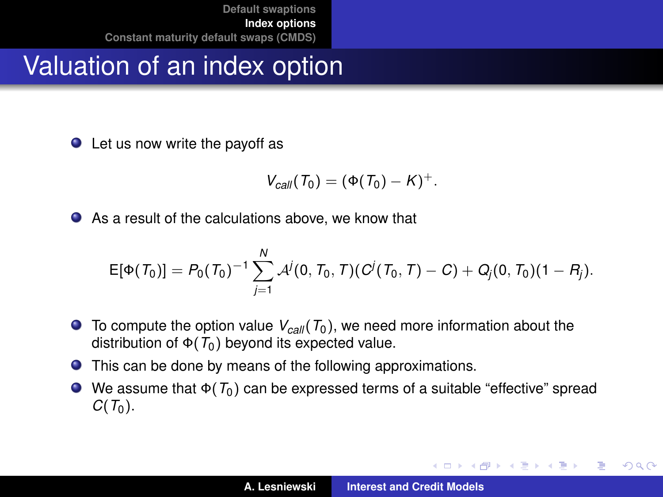## Valuation of an index option

● Let us now write the payoff as

$$
V_{\text{call}}(T_0)=(\Phi(T_0)-K)^+.
$$

As a result of the calculations above, we know that

$$
E[\Phi(T_0)] = P_0(T_0)^{-1} \sum_{j=1}^N \mathcal{A}^j(0,T_0,T)(C^j(T_0,T)-C) + Q_j(0,T_0)(1-R_j).
$$

- $\bullet$  To compute the option value  $V_{\text{c,}all}$  ( $T_0$ ), we need more information about the distribution of  $\Phi(T_0)$  beyond its expected value.
- This can be done by means of the following approximations.
- We assume that Φ(*T*0) can be expressed terms of a suitable "effective" spread  $C(T_0)$ .

(ロトス個) (運) (運)

Þ

 $298$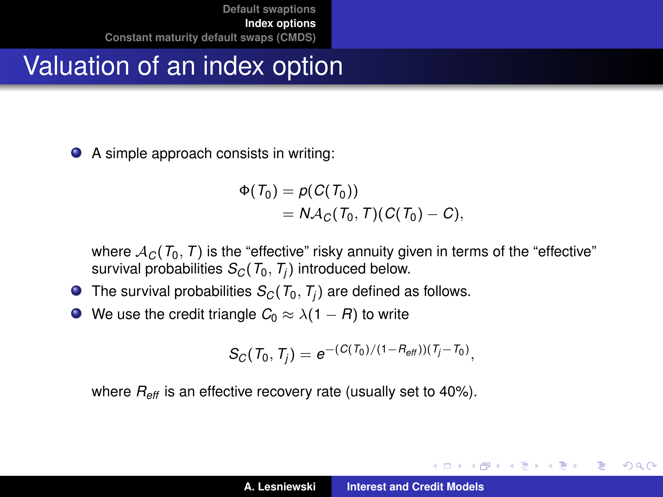### Valuation of an index option

A simple approach consists in writing:

$$
\Phi(\mathcal{T}_0) = p(C(\mathcal{T}_0))
$$
  
=  $N \mathcal{A}_C(\mathcal{T}_0, \mathcal{T})(C(\mathcal{T}_0) - C),$ 

where  $A_C(T_0, T)$  is the "effective" risky annuity given in terms of the "effective" survival probabilities  $S_C(T_0, T_i)$  introduced below.

- $\bullet$  The survival probabilities  $S_C(T_0, T_i)$  are defined as follows.
- $\bullet$  We use the credit triangle  $C_0 \approx \lambda(1 R)$  to write

$$
S_C(T_0, T_j) = e^{-(C(T_0)/(1 - R_{\text{eff}}))(T_j - T_0)},
$$

where *Reff* is an effective recovery rate (usually set to 40%).

イロトス 伊 トス 言 トス 言 トー

Þ  $2Q$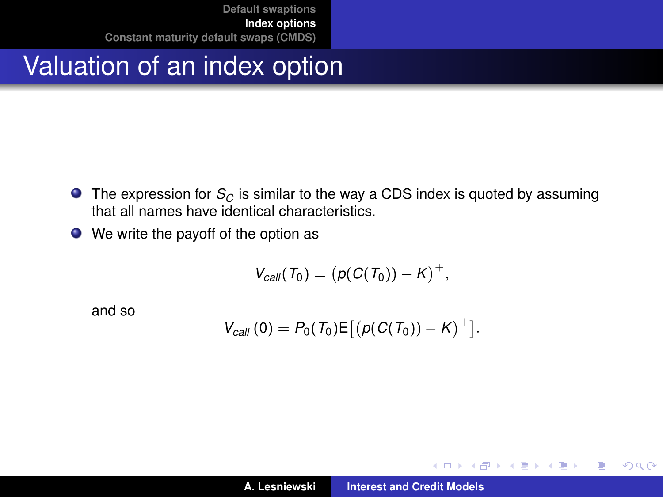## Valuation of an index option

- The expression for *S<sub>C</sub>* is similar to the way a CDS index is quoted by assuming that all names have identical characteristics.
- We write the payoff of the option as

$$
V_{\text{call}}(T_0) = (\rho(C(T_0)) - K)^+,
$$

and so

$$
V_{\text{call}}(0) = P_0(T_0) \mathsf{E}\big[ \big( p(C(T_0)) - K \big)^+ \big].
$$

(ロトス個) (運) (運)

 $299$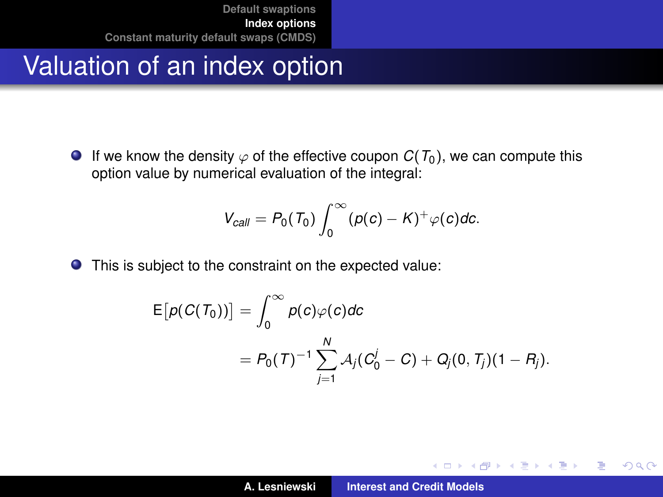#### Valuation of an index option

E

**If we know the density**  $\varphi$  **of the effective coupon**  $C(T_0)$ **, we can compute this** option value by numerical evaluation of the integral:

$$
V_{\text{call}} = P_0(T_0) \int_0^\infty (p(c) - K)^+ \varphi(c) dc.
$$

This is subject to the constraint on the expected value:

$$
E[p(C(T_0))] = \int_0^\infty p(c)\varphi(c)dc
$$
  
=  $P_0(T)^{-1}\sum_{j=1}^N A_j(C_0^j - C) + Q_j(0, T_j)(1 - R_j).$ 

イロメ イ部メ イ君メ イ君メー

 $299$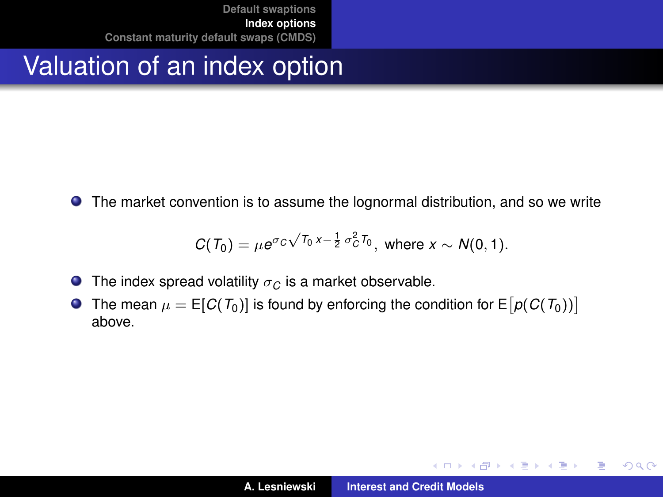#### Valuation of an index option

The market convention is to assume the lognormal distribution, and so we write

$$
C(T_0) = \mu e^{\sigma_C \sqrt{T_0} x - \frac{1}{2} \sigma_C^2 T_0}, \text{ where } x \sim N(0, 1).
$$

- **The index spread volatility**  $\sigma_C$  **is a market observable.**
- The mean  $\mu = \mathsf{E}[C(T_0)]$  is found by enforcing the condition for  $\mathsf{E}\bigl[ \rho(C(T_0)) \bigr]$ above.

イロメ イ部メ イ君メ イ君メー

 $299$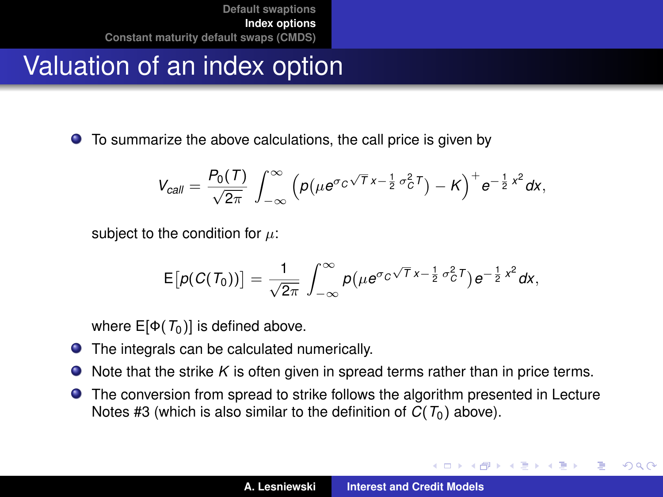## Valuation of an index option

To summarize the above calculations, the call price is given by

$$
V_{\text{call}} = \frac{P_0(T)}{\sqrt{2\pi}} \int_{-\infty}^{\infty} \left( p(\mu e^{\sigma_C \sqrt{T} x - \frac{1}{2} \sigma_C^2 T}) - K \right)^+ e^{-\frac{1}{2} x^2} dx,
$$

subject to the condition for  $\mu$ :

$$
\mathsf{E}\big[p(C(T_0))\big] = \frac{1}{\sqrt{2\pi}}\int_{-\infty}^{\infty} p\big(\mu e^{\sigma_C\sqrt{T}x-\frac{1}{2}\sigma_C^2T}\big)e^{-\frac{1}{2}x^2}dx,
$$

where  $E[\Phi(T_0)]$  is defined above.

- **O** The integrals can be calculated numerically.
- Note that the strike *K* is often given in spread terms rather than in price terms.  $\bullet$
- **•** The conversion from spread to strike follows the algorithm presented in Lecture Notes #3 (which is also similar to the definition of  $C(T_0)$  above).

(ロトス個) (運) (運)

 $QQ$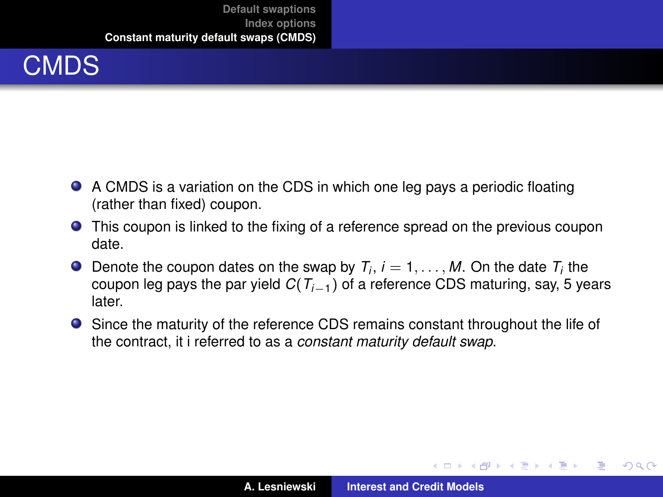

- A CMDS is a variation on the CDS in which one leg pays a periodic floating (rather than fixed) coupon.
- This coupon is linked to the fixing of a reference spread on the previous coupon date.
- Denote the coupon dates on the swap by  $T_i$ ,  $i = 1, \ldots, M$ . On the date  $T_i$  the coupon leg pays the par yield *C*(*Ti*−1) of a reference CDS maturing, say, 5 years later.
- Since the maturity of the reference CDS remains constant throughout the life of the contract, it i referred to as a *constant maturity default swap*.

イロメ イ部メ イ君メ イ君メー

 $QQ$ 

<span id="page-20-0"></span>Þ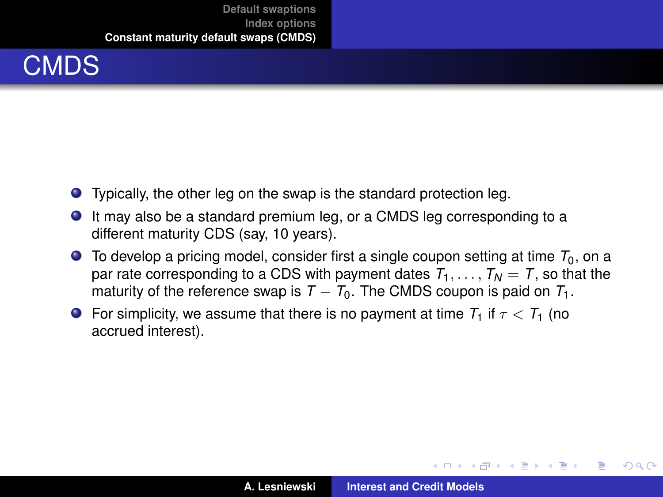

- Typically, the other leg on the swap is the standard protection leg.
- It may also be a standard premium leg, or a CMDS leg corresponding to a different maturity CDS (say, 10 years).
- $\bullet$  To develop a pricing model, consider first a single coupon setting at time  $T_0$ , on a par rate corresponding to a CDS with payment dates  $T_1, \ldots, T_N = T$ , so that the maturity of the reference swap is  $T - T_0$ . The CMDS coupon is paid on  $T_1$ .
- **For simplicity, we assume that there is no payment at time**  $T_1$  **if**  $\tau < T_1$  **(no** accrued interest).

イロメ イ部メ イヨメ イヨメー

÷.  $298$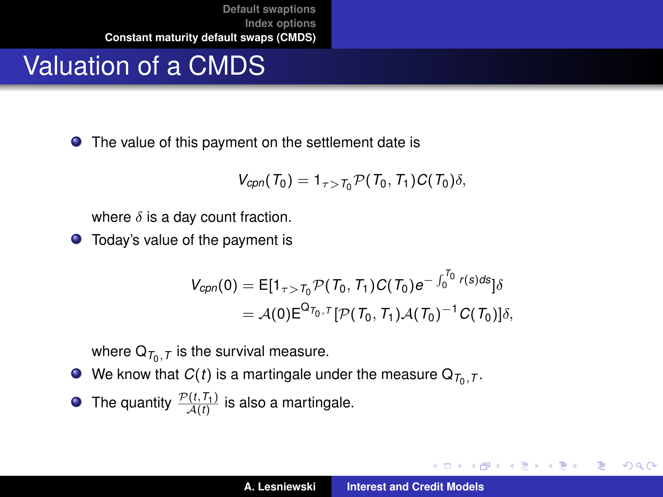## Valuation of a CMDS

● The value of this payment on the settlement date is

$$
V_{\text{cpn}}(T_0) = 1_{\tau > T_0} \mathcal{P}(T_0, T_1) C(T_0) \delta,
$$

where  $\delta$  is a day count fraction.

● Today's value of the payment is

$$
V_{cpn}(0) = E[1_{\tau > T_0} \mathcal{P}(T_0, T_1) C(T_0) e^{-\int_0^{T_0} r(s) ds}] \delta
$$
  
=  $\mathcal{A}(0) E^{\Omega_{T_0},T} [\mathcal{P}(T_0, T_1) \mathcal{A}(T_0)^{-1} C(T_0)] \delta$ ,

where  $\mathsf{Q}_{\mathcal{T}_0,\mathcal{T}}$  is the survival measure.

- We know that  $C(t)$  is a martingale under the measure  $\mathsf{Q}_{\mathcal{T}_0,\mathcal{T}}.$
- The quantity  $\frac{\mathcal{P}(t,\mathcal{T}_1)}{\mathcal{A}(t)}$  is also a martingale.

イロメ イ部メ イヨメ イヨメー

重

 $2Q$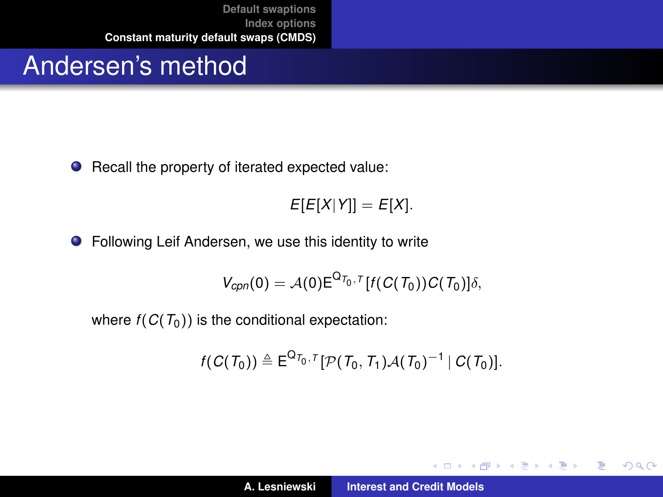#### Andersen's method

● Recall the property of iterated expected value:

 $E[E[X|Y]] = E[X].$ 

● Following Leif Andersen, we use this identity to write

$$
V_{cpn}(0) = \mathcal{A}(0) \mathsf{E}^{\mathsf{Q}_{T_0,T}}[f(C(T_0))C(T_0)]\delta,
$$

where  $f(C(T_0))$  is the conditional expectation:

$$
f(C(\mathcal{T}_0)) \triangleq \mathsf{E}^{\mathsf{Q}_{\mathcal{T}_0},\tau}[\mathcal{P}(\mathcal{T}_0,\mathcal{T}_1)\mathcal{A}(\mathcal{T}_0)^{-1} | C(\mathcal{T}_0)].
$$

イロメ イ部メ イヨメ イヨメー

 $299$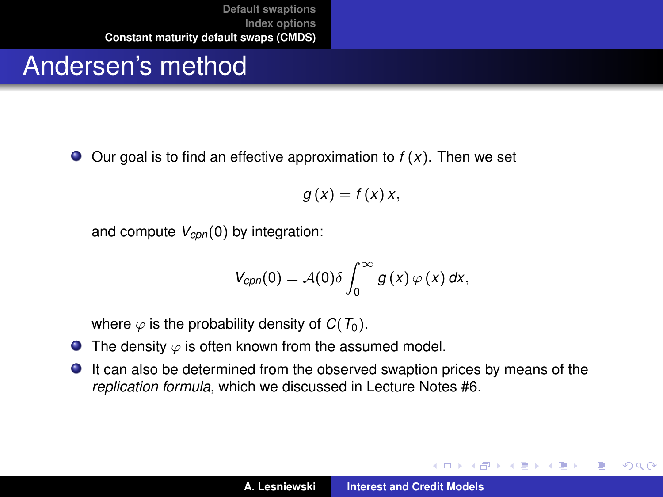## Andersen's method

 $\bullet$  Our goal is to find an effective approximation to  $f(x)$ . Then we set

$$
g(x) = f(x)x,
$$

and compute *Vcpn*(0) by integration:

$$
V_{cpn}(0) = \mathcal{A}(0)\delta \int_0^\infty g(x)\,\varphi(x)\,dx,
$$

where  $\varphi$  is the probability density of  $C(T_0)$ .

- **•** The density  $\varphi$  is often known from the assumed model.
- It can also be determined from the observed swaption prices by means of the *replication formula*, which we discussed in Lecture Notes #6.

イロメ イ部メ イヨメ イヨメー

Þ  $2Q$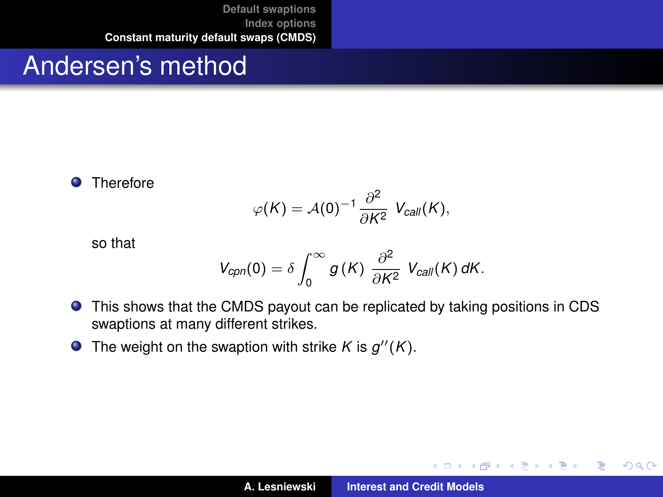#### Andersen's method

**O** Therefore

$$
\varphi(K)=\mathcal{A}(0)^{-1}\frac{\partial^2}{\partial K^2} V_{\text{call}}(K),
$$

so that

$$
V_{\text{cpn}}(0) = \delta \int_0^\infty g(K) \; \frac{\partial^2}{\partial K^2} \; V_{\text{call}}(K) \, dK.
$$

- This shows that the CMDS payout can be replicated by taking positions in CDS swaptions at many different strikes.
- The weight on the swaption with strike *K* is  $g''(K)$ .

イロメ イ部メ イ君メ イ君メー

 $299$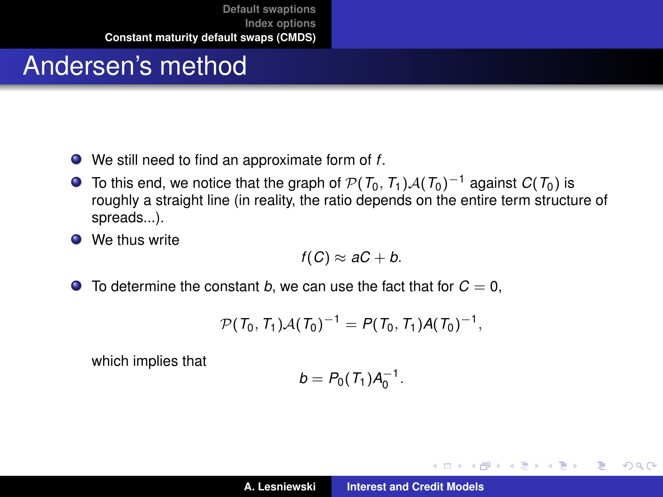### Andersen's method

- We still need to find an approximate form of *f*.
- **O** To this end, we notice that the graph of  $\mathcal{P}(T_0, T_1)\mathcal{A}(T_0)^{-1}$  against  $C(T_0)$  is roughly a straight line (in reality, the ratio depends on the entire term structure of spreads...).
- **O** We thus write

$$
f(C)\approx aC+b.
$$

 $\bullet$  To determine the constant *b*, we can use the fact that for  $C = 0$ ,

$$
\mathcal{P}(T_0,T_1)\mathcal{A}(T_0)^{-1} = P(T_0,T_1)\mathcal{A}(T_0)^{-1},
$$

which implies that

$$
b = P_0(T_1)A_0^{-1}.
$$

イロメ イ部メ イ君メ イ君メー

 $299$ 

Þ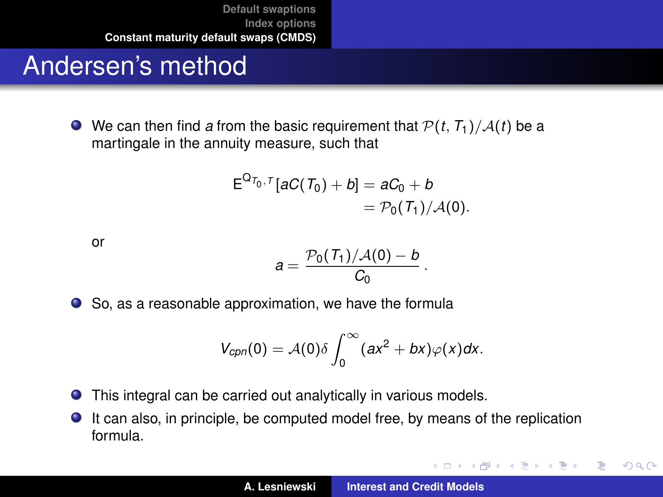## Andersen's method

 $\bullet$  We can then find *a* from the basic requirement that  $P(t, T_1)/A(t)$  be a martingale in the annuity measure, such that

$$
E^{Q_{T_0,T}}[aC(T_0)+b]=aC_0+b
$$
  
=  $\mathcal{P}_0(T_1)/\mathcal{A}(0)$ .

or

$$
a=\frac{\mathcal{P}_0(\mathit{T}_1)/\mathcal{A}(0)-b}{C_0}\,.
$$

● So, as a reasonable approximation, we have the formula

$$
V_{cpn}(0) = A(0)\delta \int_0^\infty (ax^2 + bx)\varphi(x)dx.
$$

- $\bullet$ This integral can be carried out analytically in various models.
- It can also, in principle, be computed model free, by means of the replication  $\bullet$ formula.

イロメ イ部メ イヨメ イヨメー

 $299$ 

Þ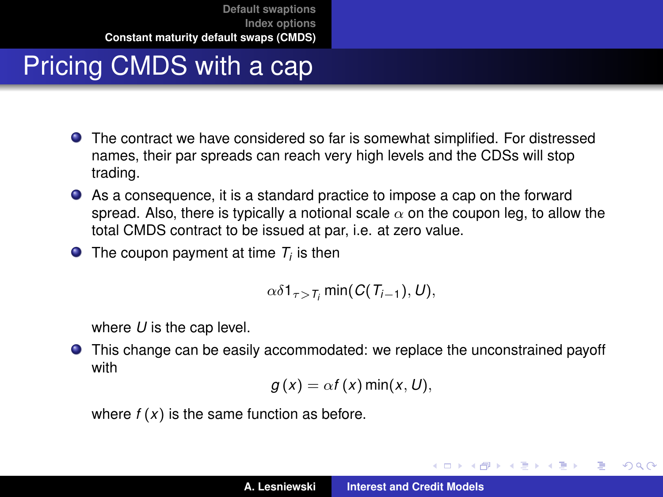## Pricing CMDS with a cap

- The contract we have considered so far is somewhat simplified. For distressed names, their par spreads can reach very high levels and the CDSs will stop trading.
- As a consequence, it is a standard practice to impose a cap on the forward spread. Also, there is typically a notional scale  $\alpha$  on the coupon leg, to allow the total CMDS contract to be issued at par, i.e. at zero value.
- The coupon payment at time  $T_i$  is then

$$
\alpha\delta\mathbf{1}_{\tau>\mathcal{T}_i}\min(C(T_{i-1}),U),
$$

where *U* is the cap level.

This change can be easily accommodated: we replace the unconstrained payoff with

$$
g(x) = \alpha f(x) \min(x, U),
$$

where  $f(x)$  is the same function as before.

イロメ イ部メ イ君メ イ君メー

 $QQ$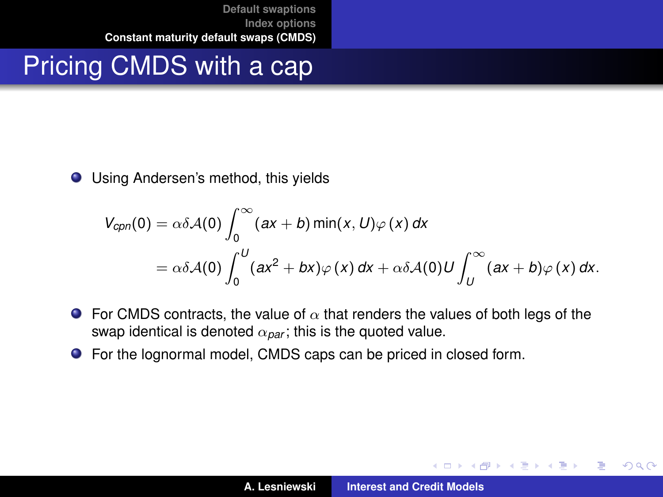#### Pricing CMDS with a cap

● Using Andersen's method, this yields

$$
V_{cpn}(0) = \alpha \delta \mathcal{A}(0) \int_0^\infty (ax + b) \min(x, U) \varphi(x) dx
$$
  
=  $\alpha \delta \mathcal{A}(0) \int_0^U (ax^2 + bx) \varphi(x) dx + \alpha \delta \mathcal{A}(0) U \int_U^\infty (ax + b) \varphi(x) dx.$ 

- **For CMDS** contracts, the value of  $\alpha$  that renders the values of both legs of the swap identical is denoted  $\alpha_{\text{par}}$ ; this is the quoted value.
- For the lognormal model, CMDS caps can be priced in closed form.

イロメ イ部メ イ君メ イ君メー

 $299$ 

Þ